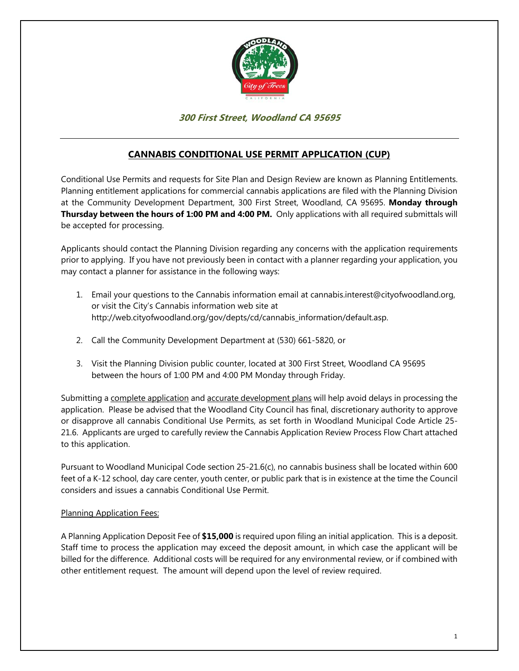

# **300 First Street, Woodland CA 95695**

# **CANNABIS CONDITIONAL USE PERMIT APPLICATION (CUP)**

Conditional Use Permits and requests for Site Plan and Design Review are known as Planning Entitlements. Planning entitlement applications for commercial cannabis applications are filed with the Planning Division at the Community Development Department, 300 First Street, Woodland, CA 95695. **Monday through Thursday between the hours of 1:00 PM and 4:00 PM.** Only applications with all required submittals will be accepted for processing.

Applicants should contact the Planning Division regarding any concerns with the application requirements prior to applying. If you have not previously been in contact with a planner regarding your application, you may contact a planner for assistance in the following ways:

- 1. Email your questions to the Cannabis information email at cannabis.interest@cityofwoodland.org, or visit the City's Cannabis information web site at http://web.cityofwoodland.org/gov/depts/cd/cannabis\_information/default.asp.
- 2. Call the Community Development Department at (530) 661-5820, or
- 3. Visit the Planning Division public counter, located at 300 First Street, Woodland CA 95695 between the hours of 1:00 PM and 4:00 PM Monday through Friday.

Submitting a complete application and accurate development plans will help avoid delays in processing the application. Please be advised that the Woodland City Council has final, discretionary authority to approve or disapprove all cannabis Conditional Use Permits, as set forth in Woodland Municipal Code Article 25- 21.6. Applicants are urged to carefully review the Cannabis Application Review Process Flow Chart attached to this application.

Pursuant to Woodland Municipal Code section 25-21.6(c), no cannabis business shall be located within 600 feet of a K-12 school, day care center, youth center, or public park that is in existence at the time the Council considers and issues a cannabis Conditional Use Permit.

#### Planning Application Fees:

A Planning Application Deposit Fee of **\$15,000** is required upon filing an initial application. This is a deposit. Staff time to process the application may exceed the deposit amount, in which case the applicant will be billed for the difference. Additional costs will be required for any environmental review, or if combined with other entitlement request. The amount will depend upon the level of review required.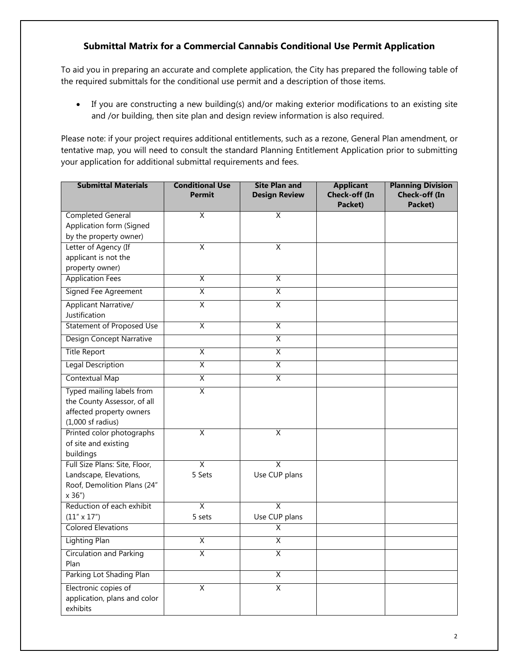# **Submittal Matrix for a Commercial Cannabis Conditional Use Permit Application**

To aid you in preparing an accurate and complete application, the City has prepared the following table of the required submittals for the conditional use permit and a description of those items.

 If you are constructing a new building(s) and/or making exterior modifications to an existing site and /or building, then site plan and design review information is also required.

Please note: if your project requires additional entitlements, such as a rezone, General Plan amendment, or tentative map, you will need to consult the standard Planning Entitlement Application prior to submitting your application for additional submittal requirements and fees.

| <b>Submittal Materials</b>            | <b>Conditional Use</b><br><b>Permit</b> | <b>Site Plan and</b><br><b>Design Review</b> | <b>Applicant</b><br>Check-off (In<br>Packet) | <b>Planning Division</b><br>Check-off (In<br>Packet) |
|---------------------------------------|-----------------------------------------|----------------------------------------------|----------------------------------------------|------------------------------------------------------|
| <b>Completed General</b>              | $\overline{\mathsf{x}}$                 | $\overline{\mathsf{x}}$                      |                                              |                                                      |
| Application form (Signed              |                                         |                                              |                                              |                                                      |
| by the property owner)                |                                         |                                              |                                              |                                                      |
| Letter of Agency (If                  | X                                       | Χ                                            |                                              |                                                      |
| applicant is not the                  |                                         |                                              |                                              |                                                      |
| property owner)                       |                                         |                                              |                                              |                                                      |
| <b>Application Fees</b>               | $\overline{X}$                          | χ                                            |                                              |                                                      |
| <b>Signed Fee Agreement</b>           | $\overline{\mathsf{x}}$                 | $\overline{\mathsf{x}}$                      |                                              |                                                      |
| <b>Applicant Narrative/</b>           | $\overline{X}$                          | X                                            |                                              |                                                      |
| Justification                         |                                         |                                              |                                              |                                                      |
| Statement of Proposed Use             | $\overline{\mathsf{X}}$                 | $\overline{\mathsf{x}}$                      |                                              |                                                      |
| <b>Design Concept Narrative</b>       |                                         | χ                                            |                                              |                                                      |
| <b>Title Report</b>                   | $\overline{\mathsf{x}}$                 | χ                                            |                                              |                                                      |
| Legal Description                     | X                                       | X                                            |                                              |                                                      |
| <b>Contextual Map</b>                 | $\overline{X}$                          | χ                                            |                                              |                                                      |
| Typed mailing labels from             | $\overline{\mathsf{X}}$                 |                                              |                                              |                                                      |
| the County Assessor, of all           |                                         |                                              |                                              |                                                      |
| affected property owners              |                                         |                                              |                                              |                                                      |
| $(1,000$ sf radius)                   |                                         |                                              |                                              |                                                      |
| Printed color photographs             | $\overline{\mathsf{x}}$                 | X                                            |                                              |                                                      |
| of site and existing                  |                                         |                                              |                                              |                                                      |
| buildings                             |                                         |                                              |                                              |                                                      |
| Full Size Plans: Site, Floor,         | $\overline{\mathsf{X}}$                 | Χ                                            |                                              |                                                      |
| Landscape, Elevations,                | 5 Sets                                  | Use CUP plans                                |                                              |                                                      |
| Roof, Demolition Plans (24"<br>x 36") |                                         |                                              |                                              |                                                      |
| Reduction of each exhibit             | $\overline{\mathsf{x}}$                 | $\overline{\mathsf{x}}$                      |                                              |                                                      |
| $(11'' \times 17'')$                  | 5 sets                                  | Use CUP plans                                |                                              |                                                      |
| <b>Colored Elevations</b>             |                                         | $\overline{\mathsf{X}}$                      |                                              |                                                      |
| <b>Lighting Plan</b>                  | $\overline{\mathsf{X}}$                 | $\overline{\mathsf{X}}$                      |                                              |                                                      |
| <b>Circulation and Parking</b>        | $\overline{\mathsf{X}}$                 | X                                            |                                              |                                                      |
| Plan                                  |                                         |                                              |                                              |                                                      |
| Parking Lot Shading Plan              |                                         | Χ                                            |                                              |                                                      |
| Electronic copies of                  | $\overline{\mathsf{x}}$                 | Χ                                            |                                              |                                                      |
| application, plans and color          |                                         |                                              |                                              |                                                      |
| exhibits                              |                                         |                                              |                                              |                                                      |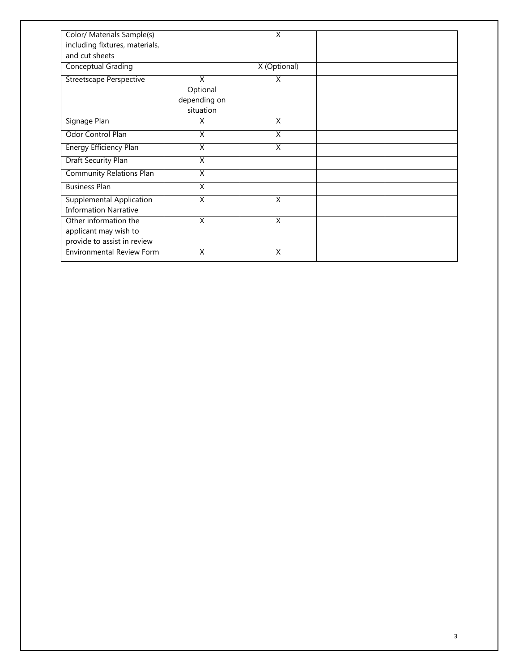| Color/ Materials Sample(s)<br>including fixtures, materials,<br>and cut sheets |                                            | X                       |  |
|--------------------------------------------------------------------------------|--------------------------------------------|-------------------------|--|
| <b>Conceptual Grading</b>                                                      |                                            | X (Optional)            |  |
| <b>Streetscape Perspective</b>                                                 | X<br>Optional<br>depending on<br>situation | X                       |  |
| Signage Plan                                                                   | X                                          | X                       |  |
| <b>Odor Control Plan</b>                                                       | $\overline{\mathsf{x}}$                    | $\overline{\mathsf{x}}$ |  |
| Energy Efficiency Plan                                                         | $\overline{\mathsf{x}}$                    | $\overline{\mathsf{x}}$ |  |
| Draft Security Plan                                                            | X                                          |                         |  |
| <b>Community Relations Plan</b>                                                | Χ                                          |                         |  |
| <b>Business Plan</b>                                                           | X                                          |                         |  |
| <b>Supplemental Application</b><br><b>Information Narrative</b>                | $\overline{X}$                             | X                       |  |
| Other information the<br>applicant may wish to<br>provide to assist in review  | $\overline{\mathsf{x}}$                    | $\overline{\mathsf{x}}$ |  |
| <b>Environmental Review Form</b>                                               | Χ                                          | X                       |  |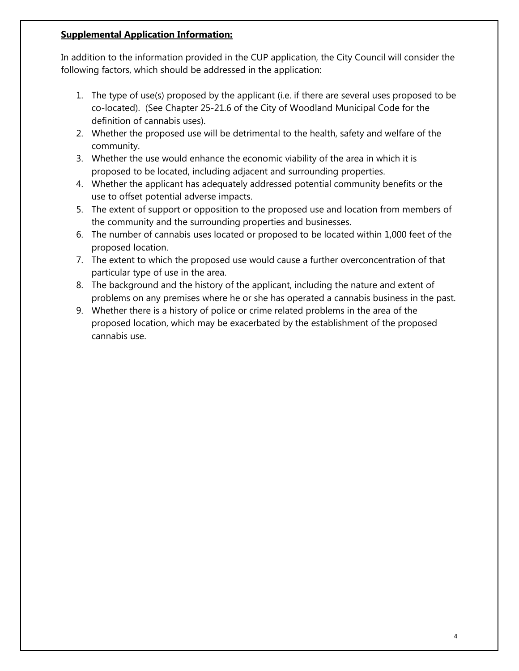#### **Supplemental Application Information:**

In addition to the information provided in the CUP application, the City Council will consider the following factors, which should be addressed in the application:

- 1. The type of use(s) proposed by the applicant (i.e. if there are several uses proposed to be co-located). (See Chapter 25-21.6 of the City of Woodland Municipal Code for the definition of cannabis uses).
- 2. Whether the proposed use will be detrimental to the health, safety and welfare of the community.
- 3. Whether the use would enhance the economic viability of the area in which it is proposed to be located, including adjacent and surrounding properties.
- 4. Whether the applicant has adequately addressed potential community benefits or the use to offset potential adverse impacts.
- 5. The extent of support or opposition to the proposed use and location from members of the community and the surrounding properties and businesses.
- 6. The number of cannabis uses located or proposed to be located within 1,000 feet of the proposed location.
- 7. The extent to which the proposed use would cause a further overconcentration of that particular type of use in the area.
- 8. The background and the history of the applicant, including the nature and extent of problems on any premises where he or she has operated a cannabis business in the past.
- 9. Whether there is a history of police or crime related problems in the area of the proposed location, which may be exacerbated by the establishment of the proposed cannabis use.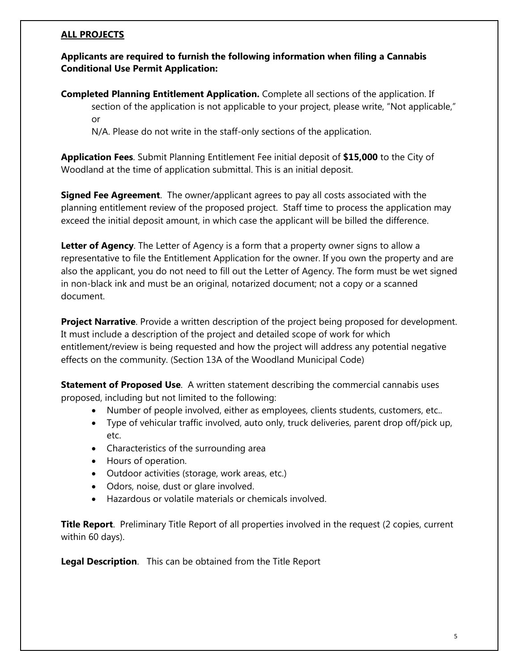#### **ALL PROJECTS**

## **Applicants are required to furnish the following information when filing a Cannabis Conditional Use Permit Application:**

**Completed Planning Entitlement Application.** Complete all sections of the application. If section of the application is not applicable to your project, please write, "Not applicable," or

N/A. Please do not write in the staff-only sections of the application.

**Application Fees**. Submit Planning Entitlement Fee initial deposit of **\$15,000** to the City of Woodland at the time of application submittal. This is an initial deposit.

**Signed Fee Agreement**. The owner/applicant agrees to pay all costs associated with the planning entitlement review of the proposed project. Staff time to process the application may exceed the initial deposit amount, in which case the applicant will be billed the difference.

**Letter of Agency**. The Letter of Agency is a form that a property owner signs to allow a representative to file the Entitlement Application for the owner. If you own the property and are also the applicant, you do not need to fill out the Letter of Agency. The form must be wet signed in non-black ink and must be an original, notarized document; not a copy or a scanned document.

**Project Narrative**. Provide a written description of the project being proposed for development. It must include a description of the project and detailed scope of work for which entitlement/review is being requested and how the project will address any potential negative effects on the community. (Section 13A of the Woodland Municipal Code)

**Statement of Proposed Use**. A written statement describing the commercial cannabis uses proposed, including but not limited to the following:

- Number of people involved, either as employees, clients students, customers, etc..
- Type of vehicular traffic involved, auto only, truck deliveries, parent drop off/pick up, etc.
- Characteristics of the surrounding area
- Hours of operation.
- Outdoor activities (storage, work areas, etc.)
- Odors, noise, dust or glare involved.
- Hazardous or volatile materials or chemicals involved.

**Title Report**. Preliminary Title Report of all properties involved in the request (2 copies, current within 60 days).

**Legal Description**. This can be obtained from the Title Report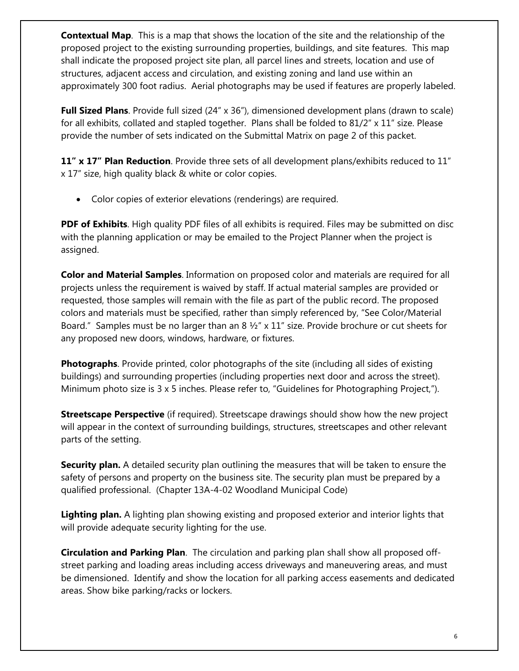**Contextual Map**. This is a map that shows the location of the site and the relationship of the proposed project to the existing surrounding properties, buildings, and site features. This map shall indicate the proposed project site plan, all parcel lines and streets, location and use of structures, adjacent access and circulation, and existing zoning and land use within an approximately 300 foot radius. Aerial photographs may be used if features are properly labeled.

**Full Sized Plans**. Provide full sized (24" x 36"), dimensioned development plans (drawn to scale) for all exhibits, collated and stapled together. Plans shall be folded to  $81/2" \times 11"$  size. Please provide the number of sets indicated on the Submittal Matrix on page 2 of this packet.

**11" x 17" Plan Reduction**. Provide three sets of all development plans/exhibits reduced to 11" x 17" size, high quality black & white or color copies.

Color copies of exterior elevations (renderings) are required.

**PDF of Exhibits**. High quality PDF files of all exhibits is required. Files may be submitted on disc with the planning application or may be emailed to the Project Planner when the project is assigned.

**Color and Material Samples**. Information on proposed color and materials are required for all projects unless the requirement is waived by staff. If actual material samples are provided or requested, those samples will remain with the file as part of the public record. The proposed colors and materials must be specified, rather than simply referenced by, "See Color/Material Board." Samples must be no larger than an 8  $\frac{1}{2}$ " x 11" size. Provide brochure or cut sheets for any proposed new doors, windows, hardware, or fixtures.

**Photographs**. Provide printed, color photographs of the site (including all sides of existing buildings) and surrounding properties (including properties next door and across the street). Minimum photo size is 3 x 5 inches. Please refer to, "Guidelines for Photographing Project,").

**Streetscape Perspective** (if required). Streetscape drawings should show how the new project will appear in the context of surrounding buildings, structures, streetscapes and other relevant parts of the setting.

**Security plan.** A detailed security plan outlining the measures that will be taken to ensure the safety of persons and property on the business site. The security plan must be prepared by a qualified professional. (Chapter 13A-4-02 Woodland Municipal Code)

**Lighting plan.** A lighting plan showing existing and proposed exterior and interior lights that will provide adequate security lighting for the use.

**Circulation and Parking Plan**. The circulation and parking plan shall show all proposed offstreet parking and loading areas including access driveways and maneuvering areas, and must be dimensioned. Identify and show the location for all parking access easements and dedicated areas. Show bike parking/racks or lockers.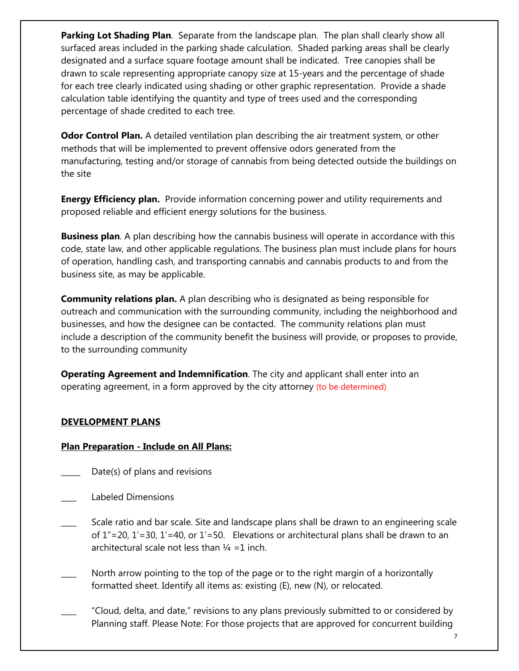**Parking Lot Shading Plan**. Separate from the landscape plan. The plan shall clearly show all surfaced areas included in the parking shade calculation. Shaded parking areas shall be clearly designated and a surface square footage amount shall be indicated. Tree canopies shall be drawn to scale representing appropriate canopy size at 15-years and the percentage of shade for each tree clearly indicated using shading or other graphic representation. Provide a shade calculation table identifying the quantity and type of trees used and the corresponding percentage of shade credited to each tree.

**Odor Control Plan.** A detailed ventilation plan describing the air treatment system, or other methods that will be implemented to prevent offensive odors generated from the manufacturing, testing and/or storage of cannabis from being detected outside the buildings on the site

**Energy Efficiency plan.** Provide information concerning power and utility requirements and proposed reliable and efficient energy solutions for the business.

**Business plan**. A plan describing how the cannabis business will operate in accordance with this code, state law, and other applicable regulations. The business plan must include plans for hours of operation, handling cash, and transporting cannabis and cannabis products to and from the business site, as may be applicable.

**Community relations plan.** A plan describing who is designated as being responsible for outreach and communication with the surrounding community, including the neighborhood and businesses, and how the designee can be contacted. The community relations plan must include a description of the community benefit the business will provide, or proposes to provide, to the surrounding community

**Operating Agreement and Indemnification**. The city and applicant shall enter into an operating agreement, in a form approved by the city attorney (to be determined)

# **DEVELOPMENT PLANS**

# **Plan Preparation - Include on All Plans:**

- Date(s) of plans and revisions
- \_\_\_\_ Labeled Dimensions
- Scale ratio and bar scale. Site and landscape plans shall be drawn to an engineering scale of  $1''=20$ ,  $1'=30$ ,  $1'=40$ , or  $1'=50$ . Elevations or architectural plans shall be drawn to an architectural scale not less than  $\frac{1}{4}$  =1 inch.
- North arrow pointing to the top of the page or to the right margin of a horizontally formatted sheet. Identify all items as: existing (E), new (N), or relocated.
- \_\_\_\_ "Cloud, delta, and date," revisions to any plans previously submitted to or considered by Planning staff. Please Note: For those projects that are approved for concurrent building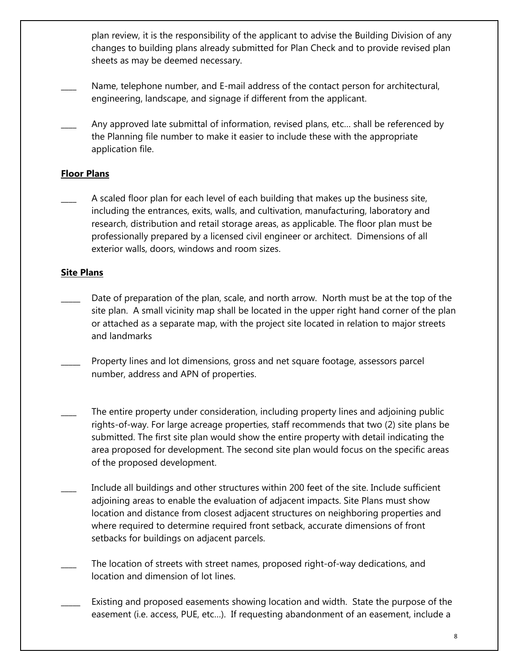plan review, it is the responsibility of the applicant to advise the Building Division of any changes to building plans already submitted for Plan Check and to provide revised plan sheets as may be deemed necessary.

- Name, telephone number, and E-mail address of the contact person for architectural, engineering, landscape, and signage if different from the applicant.
- Any approved late submittal of information, revised plans, etc... shall be referenced by the Planning file number to make it easier to include these with the appropriate application file.

# **Floor Plans**

**\_\_\_\_** A scaled floor plan for each level of each building that makes up the business site, including the entrances, exits, walls, and cultivation, manufacturing, laboratory and research, distribution and retail storage areas, as applicable. The floor plan must be professionally prepared by a licensed civil engineer or architect. Dimensions of all exterior walls, doors, windows and room sizes.

# **Site Plans**

- Date of preparation of the plan, scale, and north arrow. North must be at the top of the site plan. A small vicinity map shall be located in the upper right hand corner of the plan or attached as a separate map, with the project site located in relation to major streets and landmarks
- Property lines and lot dimensions, gross and net square footage, assessors parcel number, address and APN of properties.
- The entire property under consideration, including property lines and adjoining public rights-of-way. For large acreage properties, staff recommends that two (2) site plans be submitted. The first site plan would show the entire property with detail indicating the area proposed for development. The second site plan would focus on the specific areas of the proposed development.
- Include all buildings and other structures within 200 feet of the site. Include sufficient adjoining areas to enable the evaluation of adjacent impacts. Site Plans must show location and distance from closest adjacent structures on neighboring properties and where required to determine required front setback, accurate dimensions of front setbacks for buildings on adjacent parcels.
- The location of streets with street names, proposed right-of-way dedications, and location and dimension of lot lines.
- Existing and proposed easements showing location and width. State the purpose of the easement (i.e. access, PUE, etc…). If requesting abandonment of an easement, include a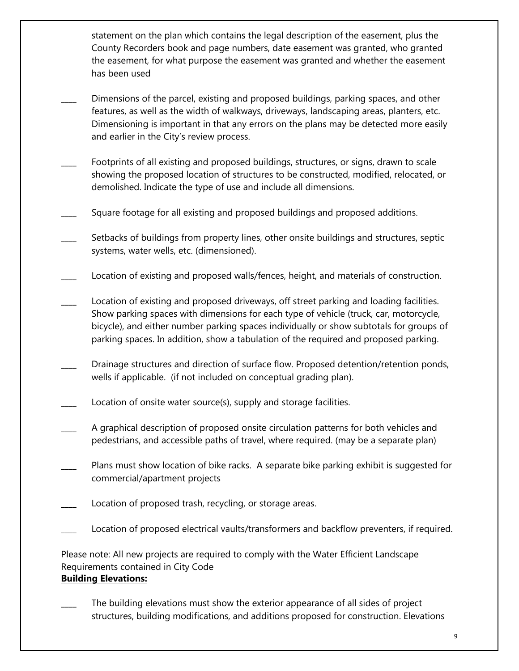statement on the plan which contains the legal description of the easement, plus the County Recorders book and page numbers, date easement was granted, who granted the easement, for what purpose the easement was granted and whether the easement has been used

- Dimensions of the parcel, existing and proposed buildings, parking spaces, and other features, as well as the width of walkways, driveways, landscaping areas, planters, etc. Dimensioning is important in that any errors on the plans may be detected more easily and earlier in the City's review process.
- Footprints of all existing and proposed buildings, structures, or signs, drawn to scale showing the proposed location of structures to be constructed, modified, relocated, or demolished. Indicate the type of use and include all dimensions.
- Square footage for all existing and proposed buildings and proposed additions.
- Setbacks of buildings from property lines, other onsite buildings and structures, septic systems, water wells, etc. (dimensioned).
- Location of existing and proposed walls/fences, height, and materials of construction.
- Location of existing and proposed driveways, off street parking and loading facilities. Show parking spaces with dimensions for each type of vehicle (truck, car, motorcycle, bicycle), and either number parking spaces individually or show subtotals for groups of parking spaces. In addition, show a tabulation of the required and proposed parking.
- Drainage structures and direction of surface flow. Proposed detention/retention ponds, wells if applicable. (if not included on conceptual grading plan).
- Location of onsite water source(s), supply and storage facilities.
- A graphical description of proposed onsite circulation patterns for both vehicles and pedestrians, and accessible paths of travel, where required. (may be a separate plan)
- Plans must show location of bike racks. A separate bike parking exhibit is suggested for commercial/apartment projects
- Location of proposed trash, recycling, or storage areas.
- Location of proposed electrical vaults/transformers and backflow preventers, if required.

Please note: All new projects are required to comply with the Water Efficient Landscape Requirements contained in City Code **Building Elevations:** 

The building elevations must show the exterior appearance of all sides of project structures, building modifications, and additions proposed for construction. Elevations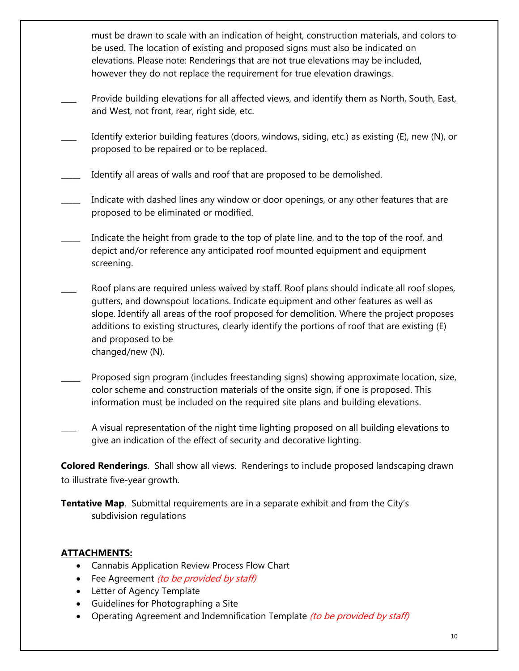must be drawn to scale with an indication of height, construction materials, and colors to be used. The location of existing and proposed signs must also be indicated on elevations. Please note: Renderings that are not true elevations may be included, however they do not replace the requirement for true elevation drawings.

- Provide building elevations for all affected views, and identify them as North, South, East, and West, not front, rear, right side, etc.
- Identify exterior building features (doors, windows, siding, etc.) as existing (E), new (N), or proposed to be repaired or to be replaced.
- Identify all areas of walls and roof that are proposed to be demolished.
- Indicate with dashed lines any window or door openings, or any other features that are proposed to be eliminated or modified.
- Indicate the height from grade to the top of plate line, and to the top of the roof, and depict and/or reference any anticipated roof mounted equipment and equipment screening.
- Roof plans are required unless waived by staff. Roof plans should indicate all roof slopes, gutters, and downspout locations. Indicate equipment and other features as well as slope. Identify all areas of the roof proposed for demolition. Where the project proposes additions to existing structures, clearly identify the portions of roof that are existing (E) and proposed to be changed/new (N).
- Proposed sign program (includes freestanding signs) showing approximate location, size, color scheme and construction materials of the onsite sign, if one is proposed. This information must be included on the required site plans and building elevations.
- A visual representation of the night time lighting proposed on all building elevations to give an indication of the effect of security and decorative lighting.

**Colored Renderings**. Shall show all views. Renderings to include proposed landscaping drawn to illustrate five-year growth.

**Tentative Map**. Submittal requirements are in a separate exhibit and from the City's subdivision regulations

# **ATTACHMENTS:**

- Cannabis Application Review Process Flow Chart
- Fee Agreement *(to be provided by staff)*
- Letter of Agency Template
- Guidelines for Photographing a Site
- Operating Agreement and Indemnification Template (to be provided by staff)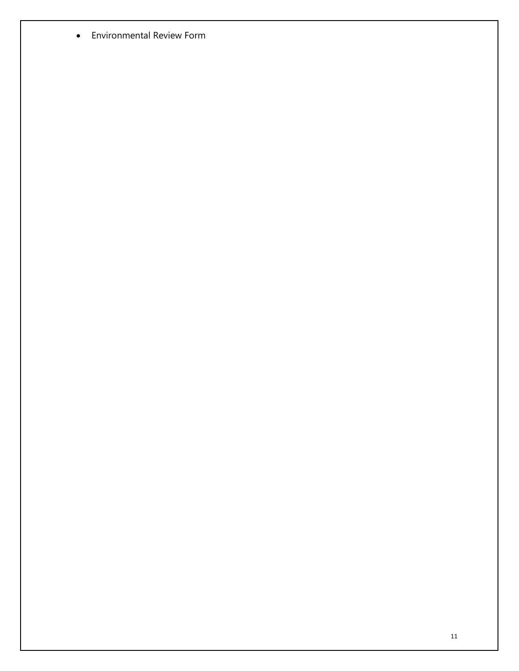Environmental Review Form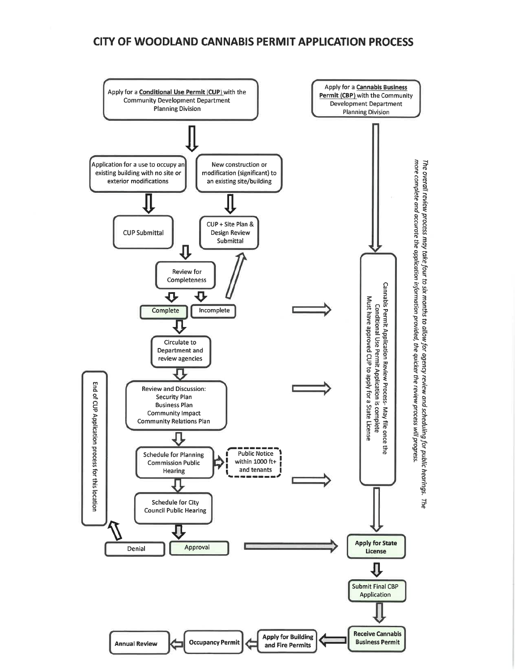# **CITY OF WOODLAND CANNABIS PERMIT APPLICATION PROCESS**

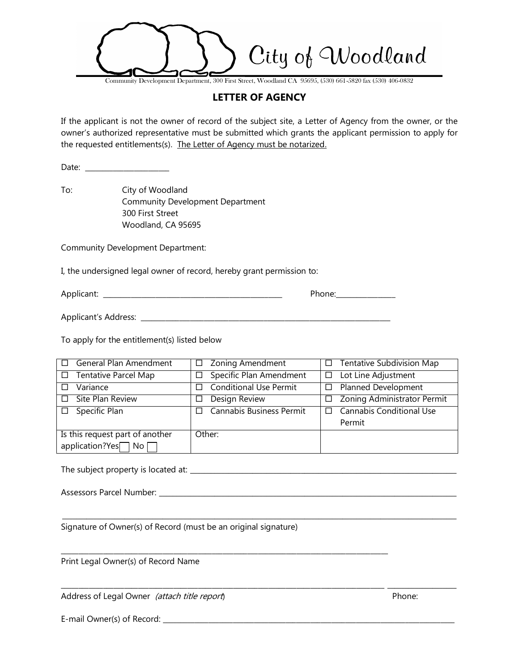City of Woodland

Community Development Department, 300 First Street, Woodland CA 95695, (530) 661-5820 fax (530) 406-0832

#### **LETTER OF AGENCY**

If the applicant is not the owner of record of the subject site, a Letter of Agency from the owner, or the owner's authorized representative must be submitted which grants the applicant permission to apply for the requested entitlements(s). The Letter of Agency must be notarized.

Date: \_\_\_\_\_\_\_\_\_\_\_\_\_\_\_\_\_\_\_\_\_\_\_\_

To: City of Woodland Community Development Department 300 First Street Woodland, CA 95695

Community Development Department:

I, the undersigned legal owner of record, hereby grant permission to:

Applicant: \_\_\_\_\_\_\_\_\_\_\_\_\_\_\_\_\_\_\_\_\_\_\_\_\_\_\_\_\_\_\_\_\_\_\_\_\_\_\_\_\_\_\_\_\_\_\_\_\_\_\_ Phone:\_\_\_\_\_\_\_\_\_\_\_\_\_\_\_\_\_

Applicant's Address: \_\_\_\_\_\_\_\_\_\_\_\_\_\_\_\_\_\_\_\_\_\_\_\_\_\_\_\_\_\_\_\_\_\_\_\_\_\_\_\_\_\_\_\_\_\_\_\_\_\_\_\_\_\_\_\_\_\_\_\_\_\_\_\_\_\_\_\_\_\_\_

To apply for the entitlement(s) listed below

| General Plan Amendment<br>$\Box$ | $\Box$ Zoning Amendment                 | Tentative Subdivision Map<br>$\Box$        |
|----------------------------------|-----------------------------------------|--------------------------------------------|
| $\Box$ Tentative Parcel Map      | Specific Plan Amendment<br>□            | Lot Line Adjustment<br>$\Box$              |
| Variance<br>$\Box$               | <b>Conditional Use Permit</b><br>$\Box$ | <b>Planned Development</b><br>□            |
| $\Box$ Site Plan Review          | Design Review<br>⊔                      | Zoning Administrator Permit<br>□           |
| $\square$ Specific Plan          | Cannabis Business Permit<br>$\perp$     | <b>Cannabis Conditional Use</b><br>$\perp$ |
|                                  |                                         | Permit                                     |
| Is this request part of another  | Other:                                  |                                            |
| application?Yes□ No □            |                                         |                                            |

 $\_$  , and the set of the set of the set of the set of the set of the set of the set of the set of the set of the set of the set of the set of the set of the set of the set of the set of the set of the set of the set of th

\_\_\_\_\_\_\_\_\_\_\_\_\_\_\_\_\_\_\_\_\_\_\_\_\_\_\_\_\_\_\_\_\_\_\_\_\_\_\_\_\_\_\_\_\_\_\_\_\_\_\_\_\_\_\_\_\_\_\_\_\_\_\_\_\_\_\_\_\_\_\_\_\_\_\_\_\_\_\_\_\_\_\_\_\_\_\_\_\_\_\_\_ \_\_\_\_\_\_\_\_\_\_\_\_\_\_\_\_\_\_\_\_

\_\_\_\_\_\_\_\_\_\_\_\_\_\_\_\_\_\_\_\_\_\_\_\_\_\_\_\_\_\_\_\_\_\_\_\_\_\_\_\_\_\_\_\_\_\_\_\_\_\_\_\_\_\_\_\_\_\_\_\_\_\_\_\_\_\_\_\_\_\_\_\_\_\_\_\_\_\_\_\_\_\_\_\_\_\_\_\_\_\_\_\_\_

The subject property is located at: \_\_\_\_\_\_\_\_\_\_\_\_\_\_\_\_\_\_\_\_\_\_\_\_\_\_\_\_\_\_\_\_\_\_\_\_\_\_\_\_\_\_\_\_\_\_\_\_\_\_\_\_\_\_\_\_\_\_\_\_\_\_\_\_\_\_\_\_\_\_\_\_\_\_\_\_\_

Assessors Parcel Number: \_\_\_\_\_\_\_\_\_\_\_\_\_\_\_\_\_\_\_\_\_\_\_\_\_\_\_\_\_\_\_\_\_\_\_\_\_\_\_\_\_\_\_\_\_\_\_\_\_\_\_\_\_\_\_\_\_\_\_\_\_\_\_\_\_\_\_\_\_\_\_\_\_\_\_\_\_\_\_\_\_\_\_\_\_\_

Signature of Owner(s) of Record (must be an original signature)

Print Legal Owner(s) of Record Name

Address of Legal Owner *(attach title report*) entitled the set of the Phone:

E-mail Owner(s) of Record: \_\_\_\_\_\_\_\_\_\_\_\_\_\_\_\_\_\_\_\_\_\_\_\_\_\_\_\_\_\_\_\_\_\_\_\_\_\_\_\_\_\_\_\_\_\_\_\_\_\_\_\_\_\_\_\_\_\_\_\_\_\_\_\_\_\_\_\_\_\_\_\_\_\_\_\_\_\_\_\_\_\_\_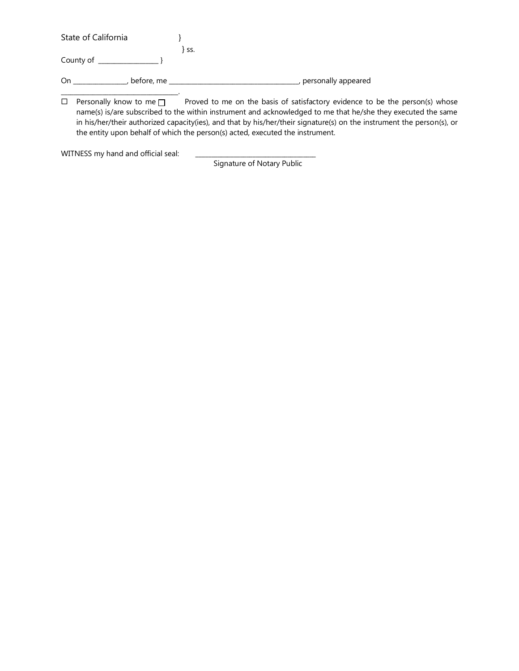| State of California |       |                       |
|---------------------|-------|-----------------------|
|                     | } ss. |                       |
| County of           |       |                       |
| before, me<br>On    |       | , personally appeared |
|                     |       |                       |

 $\Box$  Personally know to me  $\Box$  Proved to me on the basis of satisfactory evidence to be the person(s) whose name(s) is/are subscribed to the within instrument and acknowledged to me that he/she they executed the same in his/her/their authorized capacity(ies), and that by his/her/their signature(s) on the instrument the person(s), or the entity upon behalf of which the person(s) acted, executed the instrument.

WITNESS my hand and official seal:

Signature of Notary Public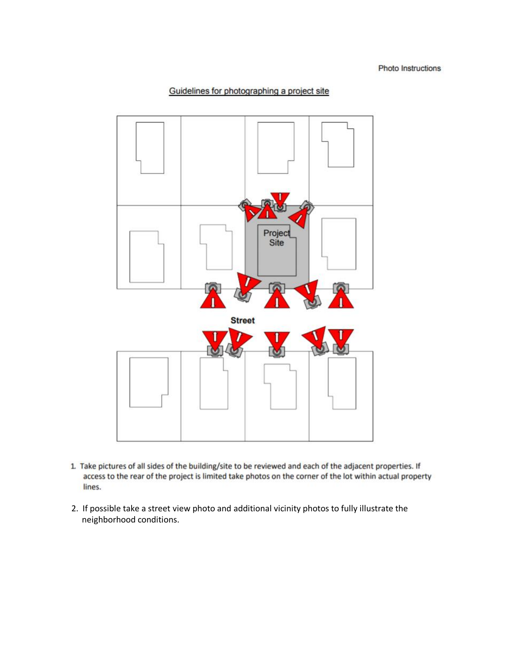#### Guidelines for photographing a project site



- 1. Take pictures of all sides of the building/site to be reviewed and each of the adjacent properties. If access to the rear of the project is limited take photos on the corner of the lot within actual property lines.
- 2. If possible take a street view photo and additional vicinity photos to fully illustrate the neighborhood conditions.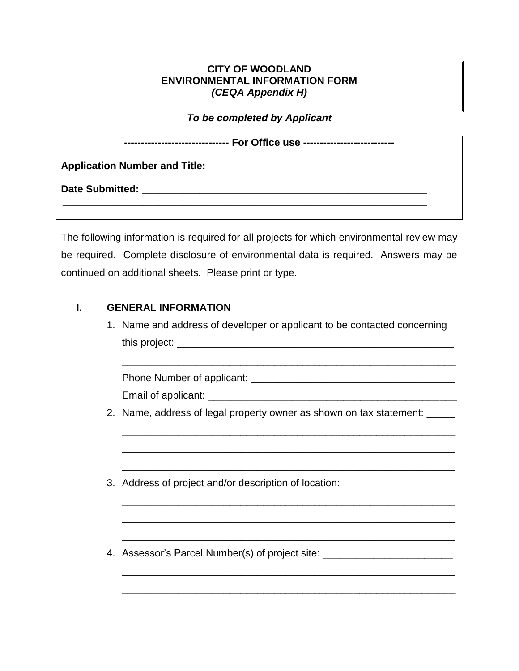# **CITY OF WOODLAND ENVIRONMENTAL INFORMATION FORM** *(CEQA Appendix H)*

*To be completed by Applicant*

| ------------------------------- For Office use -------------------------- |  |  |  |
|---------------------------------------------------------------------------|--|--|--|
| <b>Application Number and Title:</b>                                      |  |  |  |
| Date Submitted: <b>Example 2018</b>                                       |  |  |  |
|                                                                           |  |  |  |

The following information is required for all projects for which environmental review may be required. Complete disclosure of environmental data is required. Answers may be continued on additional sheets. Please print or type.

# **I. GENERAL INFORMATION**

1. Name and address of developer or applicant to be contacted concerning this project: \_\_\_\_\_\_\_\_\_\_\_\_\_\_\_\_\_\_\_\_\_\_\_\_\_\_\_\_\_\_\_\_\_\_\_\_\_\_\_\_\_\_\_\_\_\_\_\_\_

\_\_\_\_\_\_\_\_\_\_\_\_\_\_\_\_\_\_\_\_\_\_\_\_\_\_\_\_\_\_\_\_\_\_\_\_\_\_\_\_\_\_\_\_\_\_\_\_\_\_\_\_\_\_\_\_\_\_\_

\_\_\_\_\_\_\_\_\_\_\_\_\_\_\_\_\_\_\_\_\_\_\_\_\_\_\_\_\_\_\_\_\_\_\_\_\_\_\_\_\_\_\_\_\_\_\_\_\_\_\_\_\_\_\_\_\_\_\_

\_\_\_\_\_\_\_\_\_\_\_\_\_\_\_\_\_\_\_\_\_\_\_\_\_\_\_\_\_\_\_\_\_\_\_\_\_\_\_\_\_\_\_\_\_\_\_\_\_\_\_\_\_\_\_\_\_\_\_

\_\_\_\_\_\_\_\_\_\_\_\_\_\_\_\_\_\_\_\_\_\_\_\_\_\_\_\_\_\_\_\_\_\_\_\_\_\_\_\_\_\_\_\_\_\_\_\_\_\_\_\_\_\_\_\_\_\_\_

\_\_\_\_\_\_\_\_\_\_\_\_\_\_\_\_\_\_\_\_\_\_\_\_\_\_\_\_\_\_\_\_\_\_\_\_\_\_\_\_\_\_\_\_\_\_\_\_\_\_\_\_\_\_\_\_\_\_\_

\_\_\_\_\_\_\_\_\_\_\_\_\_\_\_\_\_\_\_\_\_\_\_\_\_\_\_\_\_\_\_\_\_\_\_\_\_\_\_\_\_\_\_\_\_\_\_\_\_\_\_\_\_\_\_\_\_\_\_

\_\_\_\_\_\_\_\_\_\_\_\_\_\_\_\_\_\_\_\_\_\_\_\_\_\_\_\_\_\_\_\_\_\_\_\_\_\_\_\_\_\_\_\_\_\_\_\_\_\_\_\_\_\_\_\_\_\_\_

\_\_\_\_\_\_\_\_\_\_\_\_\_\_\_\_\_\_\_\_\_\_\_\_\_\_\_\_\_\_\_\_\_\_\_\_\_\_\_\_\_\_\_\_\_\_\_\_\_\_\_\_\_\_\_\_\_\_\_

\_\_\_\_\_\_\_\_\_\_\_\_\_\_\_\_\_\_\_\_\_\_\_\_\_\_\_\_\_\_\_\_\_\_\_\_\_\_\_\_\_\_\_\_\_\_\_\_\_\_\_\_\_\_\_\_\_\_\_

Phone Number of applicant: \_\_\_\_\_\_\_\_\_\_\_\_\_\_\_\_\_\_\_\_\_\_\_\_\_\_\_\_\_\_\_\_\_\_\_\_

Email of applicant: \_\_\_\_\_\_\_\_\_\_\_\_\_\_\_\_\_\_\_\_\_\_\_\_\_\_\_\_\_\_\_\_\_\_\_\_\_\_\_\_\_\_\_\_

- 2. Name, address of legal property owner as shown on tax statement: \_\_\_\_\_
- 3. Address of project and/or description of location: \_\_\_\_\_\_\_\_\_\_\_\_\_\_\_\_\_\_\_\_\_\_\_\_\_\_
- 4. Assessor's Parcel Number(s) of project site: \_\_\_\_\_\_\_\_\_\_\_\_\_\_\_\_\_\_\_\_\_\_\_\_\_\_\_\_\_\_\_\_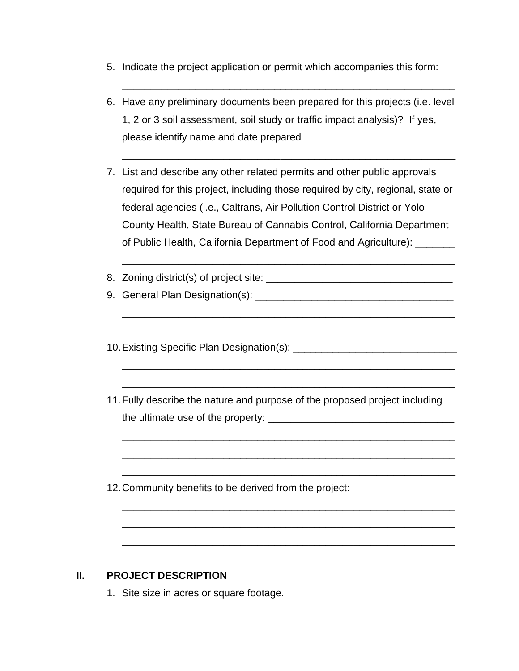- 5. Indicate the project application or permit which accompanies this form:
- 6. Have any preliminary documents been prepared for this projects (i.e. level 1, 2 or 3 soil assessment, soil study or traffic impact analysis)? If yes, please identify name and date prepared

\_\_\_\_\_\_\_\_\_\_\_\_\_\_\_\_\_\_\_\_\_\_\_\_\_\_\_\_\_\_\_\_\_\_\_\_\_\_\_\_\_\_\_\_\_\_\_\_\_\_\_\_\_\_\_\_\_\_\_

\_\_\_\_\_\_\_\_\_\_\_\_\_\_\_\_\_\_\_\_\_\_\_\_\_\_\_\_\_\_\_\_\_\_\_\_\_\_\_\_\_\_\_\_\_\_\_\_\_\_\_\_\_\_\_\_\_\_\_

- 7. List and describe any other related permits and other public approvals required for this project, including those required by city, regional, state or federal agencies (i.e., Caltrans, Air Pollution Control District or Yolo County Health, State Bureau of Cannabis Control, California Department of Public Health, California Department of Food and Agriculture):
- 8. Zoning district(s) of project site: \_\_\_\_\_\_\_\_\_\_\_\_\_\_\_\_\_\_\_\_\_\_\_\_\_\_\_\_\_\_\_\_\_

\_\_\_\_\_\_\_\_\_\_\_\_\_\_\_\_\_\_\_\_\_\_\_\_\_\_\_\_\_\_\_\_\_\_\_\_\_\_\_\_\_\_\_\_\_\_\_\_\_\_\_\_\_\_\_\_\_\_\_

\_\_\_\_\_\_\_\_\_\_\_\_\_\_\_\_\_\_\_\_\_\_\_\_\_\_\_\_\_\_\_\_\_\_\_\_\_\_\_\_\_\_\_\_\_\_\_\_\_\_\_\_\_\_\_\_\_\_\_

\_\_\_\_\_\_\_\_\_\_\_\_\_\_\_\_\_\_\_\_\_\_\_\_\_\_\_\_\_\_\_\_\_\_\_\_\_\_\_\_\_\_\_\_\_\_\_\_\_\_\_\_\_\_\_\_\_\_\_

\_\_\_\_\_\_\_\_\_\_\_\_\_\_\_\_\_\_\_\_\_\_\_\_\_\_\_\_\_\_\_\_\_\_\_\_\_\_\_\_\_\_\_\_\_\_\_\_\_\_\_\_\_\_\_\_\_\_\_

\_\_\_\_\_\_\_\_\_\_\_\_\_\_\_\_\_\_\_\_\_\_\_\_\_\_\_\_\_\_\_\_\_\_\_\_\_\_\_\_\_\_\_\_\_\_\_\_\_\_\_\_\_\_\_\_\_\_\_

\_\_\_\_\_\_\_\_\_\_\_\_\_\_\_\_\_\_\_\_\_\_\_\_\_\_\_\_\_\_\_\_\_\_\_\_\_\_\_\_\_\_\_\_\_\_\_\_\_\_\_\_\_\_\_\_\_\_\_

\_\_\_\_\_\_\_\_\_\_\_\_\_\_\_\_\_\_\_\_\_\_\_\_\_\_\_\_\_\_\_\_\_\_\_\_\_\_\_\_\_\_\_\_\_\_\_\_\_\_\_\_\_\_\_\_\_\_\_

\_\_\_\_\_\_\_\_\_\_\_\_\_\_\_\_\_\_\_\_\_\_\_\_\_\_\_\_\_\_\_\_\_\_\_\_\_\_\_\_\_\_\_\_\_\_\_\_\_\_\_\_\_\_\_\_\_\_\_

\_\_\_\_\_\_\_\_\_\_\_\_\_\_\_\_\_\_\_\_\_\_\_\_\_\_\_\_\_\_\_\_\_\_\_\_\_\_\_\_\_\_\_\_\_\_\_\_\_\_\_\_\_\_\_\_\_\_\_

\_\_\_\_\_\_\_\_\_\_\_\_\_\_\_\_\_\_\_\_\_\_\_\_\_\_\_\_\_\_\_\_\_\_\_\_\_\_\_\_\_\_\_\_\_\_\_\_\_\_\_\_\_\_\_\_\_\_\_

\_\_\_\_\_\_\_\_\_\_\_\_\_\_\_\_\_\_\_\_\_\_\_\_\_\_\_\_\_\_\_\_\_\_\_\_\_\_\_\_\_\_\_\_\_\_\_\_\_\_\_\_\_\_\_\_\_\_\_

- 9. General Plan Designation(s): \_\_\_\_\_\_\_\_\_\_\_\_\_\_\_\_\_\_\_\_\_\_\_\_\_\_\_\_\_\_\_\_\_\_\_
- 10.Existing Specific Plan Designation(s): \_\_\_\_\_\_\_\_\_\_\_\_\_\_\_\_\_\_\_\_\_\_\_\_\_\_\_\_\_
- 11.Fully describe the nature and purpose of the proposed project including the ultimate use of the property: \_\_\_\_\_\_\_\_\_\_\_\_\_\_\_\_\_\_\_\_\_\_\_\_\_\_\_\_\_\_\_\_\_
- 12. Community benefits to be derived from the project: \_\_\_\_\_\_\_\_\_\_\_\_\_\_\_\_\_\_\_\_\_\_\_\_\_

# **II. PROJECT DESCRIPTION**

1. Site size in acres or square footage.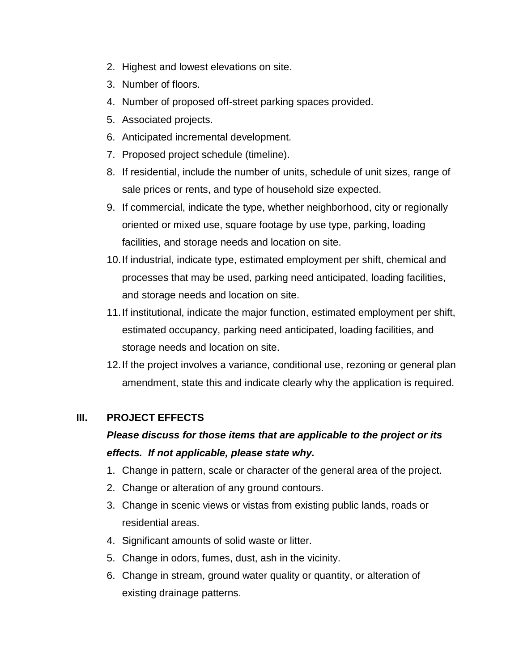- 2. Highest and lowest elevations on site.
- 3. Number of floors.
- 4. Number of proposed off-street parking spaces provided.
- 5. Associated projects.
- 6. Anticipated incremental development.
- 7. Proposed project schedule (timeline).
- 8. If residential, include the number of units, schedule of unit sizes, range of sale prices or rents, and type of household size expected.
- 9. If commercial, indicate the type, whether neighborhood, city or regionally oriented or mixed use, square footage by use type, parking, loading facilities, and storage needs and location on site.
- 10.If industrial, indicate type, estimated employment per shift, chemical and processes that may be used, parking need anticipated, loading facilities, and storage needs and location on site.
- 11.If institutional, indicate the major function, estimated employment per shift, estimated occupancy, parking need anticipated, loading facilities, and storage needs and location on site.
- 12.If the project involves a variance, conditional use, rezoning or general plan amendment, state this and indicate clearly why the application is required.

# **III. PROJECT EFFECTS**

# *Please discuss for those items that are applicable to the project or its effects. If not applicable, please state why.*

- 1. Change in pattern, scale or character of the general area of the project.
- 2. Change or alteration of any ground contours.
- 3. Change in scenic views or vistas from existing public lands, roads or residential areas.
- 4. Significant amounts of solid waste or litter.
- 5. Change in odors, fumes, dust, ash in the vicinity.
- 6. Change in stream, ground water quality or quantity, or alteration of existing drainage patterns.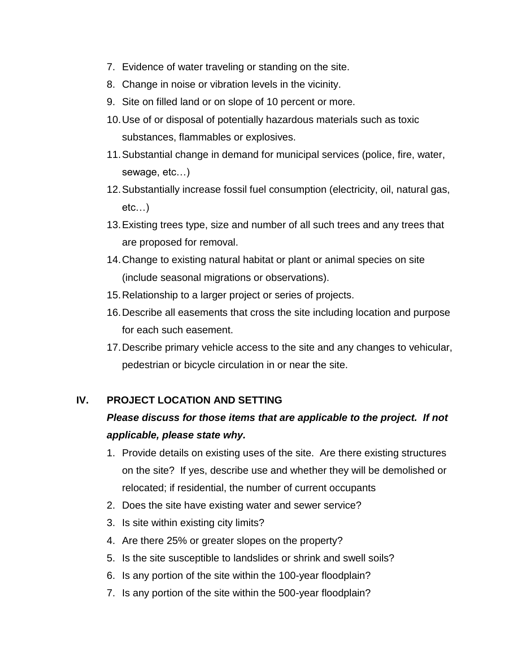- 7. Evidence of water traveling or standing on the site.
- 8. Change in noise or vibration levels in the vicinity.
- 9. Site on filled land or on slope of 10 percent or more.
- 10.Use of or disposal of potentially hazardous materials such as toxic substances, flammables or explosives.
- 11.Substantial change in demand for municipal services (police, fire, water, sewage, etc…)
- 12.Substantially increase fossil fuel consumption (electricity, oil, natural gas, etc…)
- 13.Existing trees type, size and number of all such trees and any trees that are proposed for removal.
- 14.Change to existing natural habitat or plant or animal species on site (include seasonal migrations or observations).
- 15.Relationship to a larger project or series of projects.
- 16.Describe all easements that cross the site including location and purpose for each such easement.
- 17.Describe primary vehicle access to the site and any changes to vehicular, pedestrian or bicycle circulation in or near the site.

# **IV. PROJECT LOCATION AND SETTING**

# *Please discuss for those items that are applicable to the project. If not applicable, please state why.*

- 1. Provide details on existing uses of the site. Are there existing structures on the site? If yes, describe use and whether they will be demolished or relocated; if residential, the number of current occupants
- 2. Does the site have existing water and sewer service?
- 3. Is site within existing city limits?
- 4. Are there 25% or greater slopes on the property?
- 5. Is the site susceptible to landslides or shrink and swell soils?
- 6. Is any portion of the site within the 100-year floodplain?
- 7. Is any portion of the site within the 500-year floodplain?